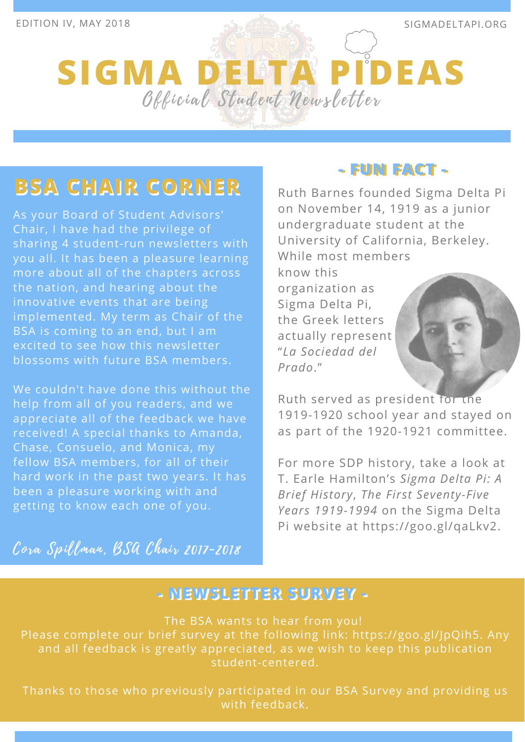# **SIGMA DELTA PIDEAS** Official Student Newsletter

### **BSA CHAIR CORNER BSA CHAIR CORNER**

As your Board of Student Advisors' Chair, I have had the privilege of sharing 4 student-run newsletters with you all. It has been a pleasure learning more about all of the chapters across the nation, and hearing about the innovative events that are being implemented. My term as Chair of the BSA is coming to an end, but I am excited to see how this newsletter blossoms with future BSA members.

We couldn't have done this without the help from all of you readers, and we appreciate all of the feedback we have received! A special thanks to Amanda, Chase, Consuelo, and Monica, my fellow BSA members, for all of their hard work in the past two years. It has been a pleasure working with and getting to know each one of you.

Cora Spillman, BSA Chair 2017-2018

### **- FUN FACT - - FUN FACT -**

Ruth Barnes founded Sigma Delta Pi on November 14, 1919 as a junior undergraduate student at the University of California, Berkeley. While most members

know this organization as Sigma Delta Pi, the Greek letters actually represent "*La Sociedad del Prado*."

Ruth served as president for the 1919-1920 school year and stayed on as part of the 1920-1921 committee.

For more SDP history, take a look at T. Earle Hamilton's *Sigma Delta Pi: A Brief History*, *The First Seventy-Five Years 1919-1994* on the Sigma Delta Pi website at https://goo.gl/qaLkv2.

### **-- NNEEWWSSLLEETTTTEERR SSUURRVVEEYY --**

The BSA wants to hear from you! Please complete our brief survey at the following link: https://goo.gl/JpQih5. Any and all feedback is greatly appreciated, as we wish to keep this publication student-centered.

Thanks to those who previously participated in our BSA Survey and providing us with feedback.